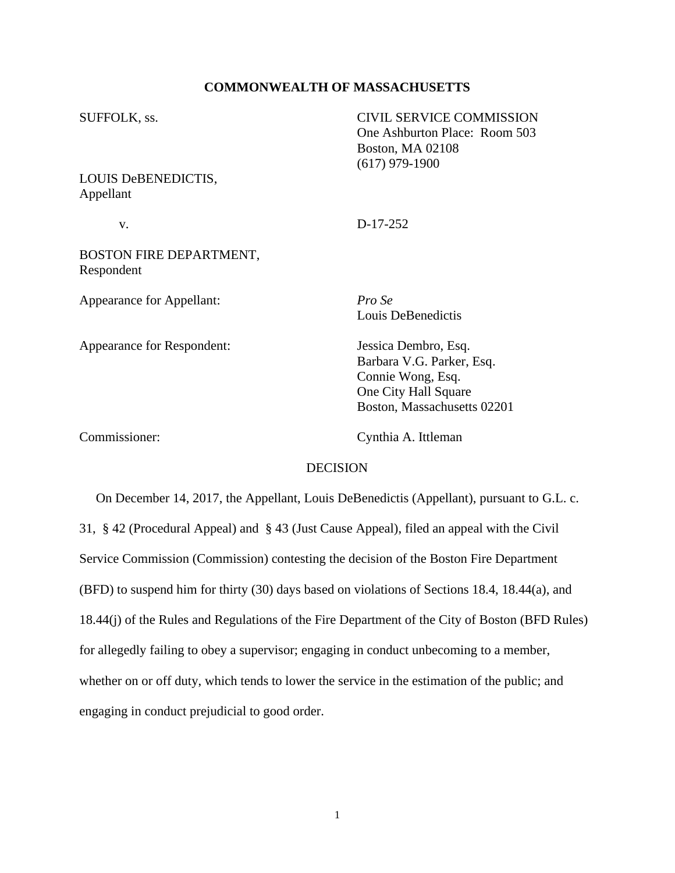### **COMMONWEALTH OF MASSACHUSETTS**

| SUFFOLK, ss.<br>LOUIS DeBENEDICTIS,<br>Appellant | <b>CIVIL SERVICE COMMISSION</b><br>One Ashburton Place: Room 503<br>Boston, MA 02108<br>$(617)$ 979-1900                      |
|--------------------------------------------------|-------------------------------------------------------------------------------------------------------------------------------|
|                                                  |                                                                                                                               |
| BOSTON FIRE DEPARTMENT,<br>Respondent            |                                                                                                                               |
| Appearance for Appellant:                        | Pro Se<br>Louis DeBenedictis                                                                                                  |
| Appearance for Respondent:                       | Jessica Dembro, Esq.<br>Barbara V.G. Parker, Esq.<br>Connie Wong, Esq.<br>One City Hall Square<br>Boston, Massachusetts 02201 |
| Commissioner:                                    | Cynthia A. Ittleman                                                                                                           |

# DECISION

 On December 14, 2017, the Appellant, Louis DeBenedictis (Appellant), pursuant to G.L. c. 31, § 42 (Procedural Appeal) and § 43 (Just Cause Appeal), filed an appeal with the Civil Service Commission (Commission) contesting the decision of the Boston Fire Department (BFD) to suspend him for thirty (30) days based on violations of Sections 18.4, 18.44(a), and 18.44(j) of the Rules and Regulations of the Fire Department of the City of Boston (BFD Rules) for allegedly failing to obey a supervisor; engaging in conduct unbecoming to a member, whether on or off duty, which tends to lower the service in the estimation of the public; and engaging in conduct prejudicial to good order.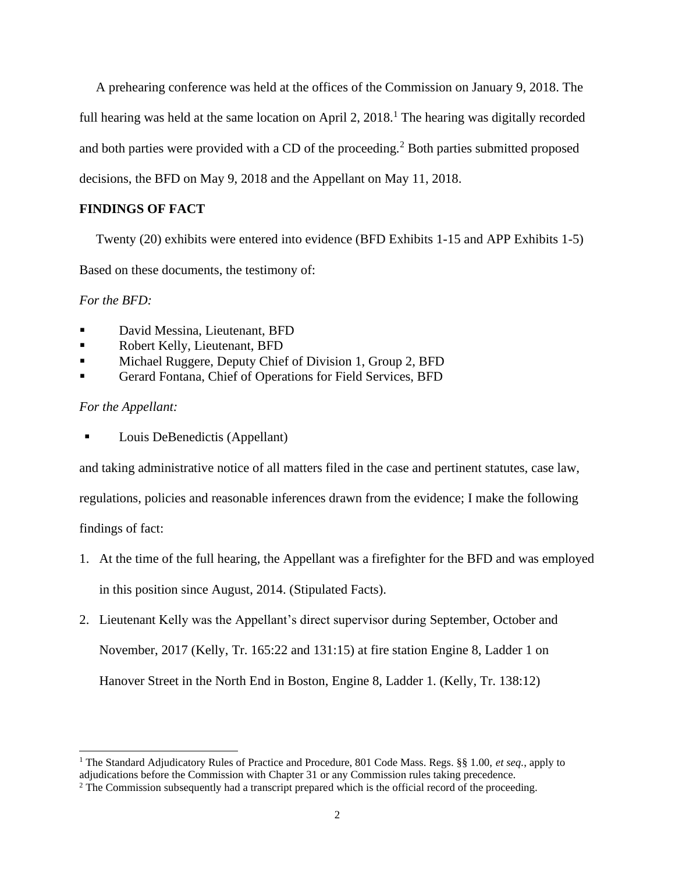A prehearing conference was held at the offices of the Commission on January 9, 2018. The full hearing was held at the same location on April 2,  $2018<sup>1</sup>$ . The hearing was digitally recorded and both parties were provided with a CD of the proceeding*.* <sup>2</sup> Both parties submitted proposed decisions, the BFD on May 9, 2018 and the Appellant on May 11, 2018.

# **FINDINGS OF FACT**

Twenty (20) exhibits were entered into evidence (BFD Exhibits 1-15 and APP Exhibits 1-5)

Based on these documents, the testimony of:

*For the BFD:*

- David Messina, Lieutenant, BFD
- **Exercise Robert Kelly, Lieutenant, BFD**
- Michael Ruggere, Deputy Chief of Division 1, Group 2, BFD
- Gerard Fontana, Chief of Operations for Field Services, BFD

### *For the Appellant:*

Louis DeBenedictis (Appellant)

and taking administrative notice of all matters filed in the case and pertinent statutes, case law,

regulations, policies and reasonable inferences drawn from the evidence; I make the following

findings of fact:

- 1. At the time of the full hearing, the Appellant was a firefighter for the BFD and was employed in this position since August, 2014. (Stipulated Facts).
- 2. Lieutenant Kelly was the Appellant's direct supervisor during September, October and November, 2017 (Kelly, Tr. 165:22 and 131:15) at fire station Engine 8, Ladder 1 on Hanover Street in the North End in Boston, Engine 8, Ladder 1. (Kelly, Tr. 138:12)

<sup>1</sup> The Standard Adjudicatory Rules of Practice and Procedure, 801 Code Mass. Regs. §§ 1.00, *et seq.*, apply to adjudications before the Commission with Chapter 31 or any Commission rules taking precedence.

<sup>&</sup>lt;sup>2</sup> The Commission subsequently had a transcript prepared which is the official record of the proceeding.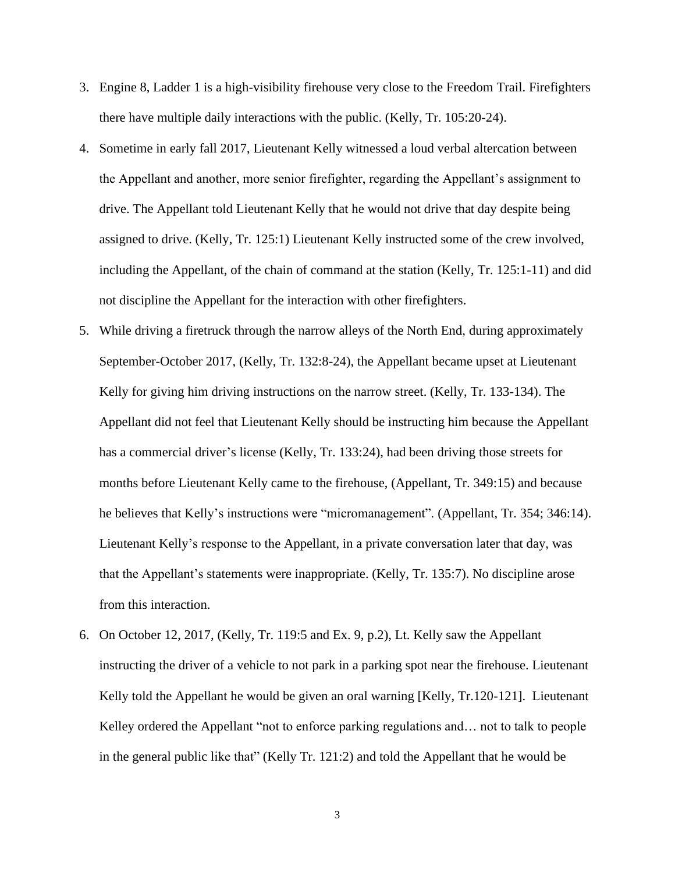- 3. Engine 8, Ladder 1 is a high-visibility firehouse very close to the Freedom Trail. Firefighters there have multiple daily interactions with the public. (Kelly, Tr. 105:20-24).
- 4. Sometime in early fall 2017, Lieutenant Kelly witnessed a loud verbal altercation between the Appellant and another, more senior firefighter, regarding the Appellant's assignment to drive. The Appellant told Lieutenant Kelly that he would not drive that day despite being assigned to drive. (Kelly, Tr. 125:1) Lieutenant Kelly instructed some of the crew involved, including the Appellant, of the chain of command at the station (Kelly, Tr. 125:1-11) and did not discipline the Appellant for the interaction with other firefighters.
- 5. While driving a firetruck through the narrow alleys of the North End, during approximately September-October 2017, (Kelly, Tr. 132:8-24), the Appellant became upset at Lieutenant Kelly for giving him driving instructions on the narrow street. (Kelly, Tr. 133-134). The Appellant did not feel that Lieutenant Kelly should be instructing him because the Appellant has a commercial driver's license (Kelly, Tr. 133:24), had been driving those streets for months before Lieutenant Kelly came to the firehouse, (Appellant, Tr. 349:15) and because he believes that Kelly's instructions were "micromanagement". (Appellant, Tr. 354; 346:14). Lieutenant Kelly's response to the Appellant, in a private conversation later that day, was that the Appellant's statements were inappropriate. (Kelly, Tr. 135:7). No discipline arose from this interaction.
- 6. On October 12, 2017, (Kelly, Tr. 119:5 and Ex. 9, p.2), Lt. Kelly saw the Appellant instructing the driver of a vehicle to not park in a parking spot near the firehouse. Lieutenant Kelly told the Appellant he would be given an oral warning [Kelly, Tr.120-121]. Lieutenant Kelley ordered the Appellant "not to enforce parking regulations and... not to talk to people in the general public like that" (Kelly Tr. 121:2) and told the Appellant that he would be

3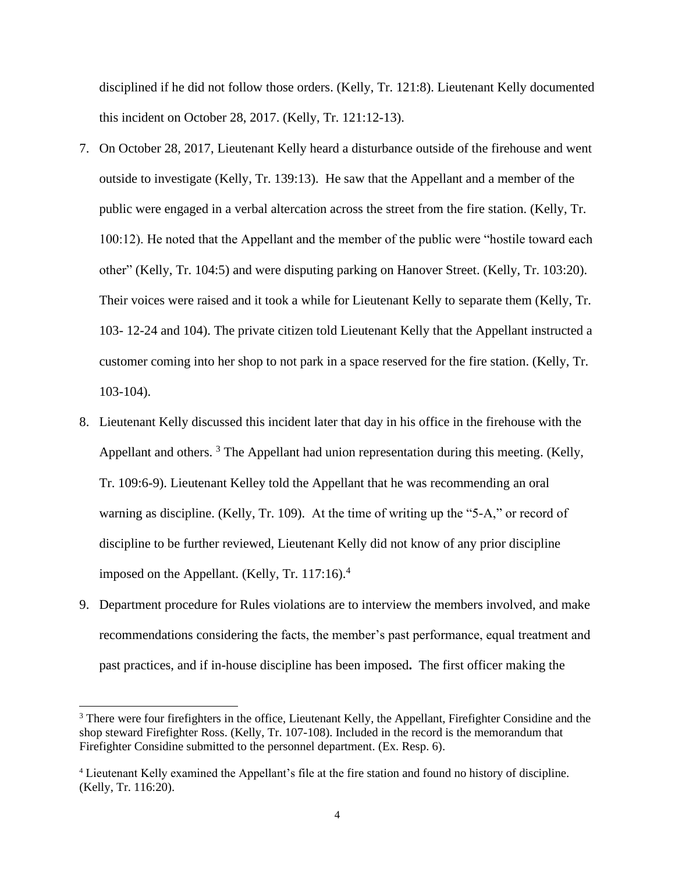disciplined if he did not follow those orders. (Kelly, Tr. 121:8). Lieutenant Kelly documented this incident on October 28, 2017. (Kelly, Tr. 121:12-13).

- 7. On October 28, 2017, Lieutenant Kelly heard a disturbance outside of the firehouse and went outside to investigate (Kelly, Tr. 139:13). He saw that the Appellant and a member of the public were engaged in a verbal altercation across the street from the fire station. (Kelly, Tr. 100:12). He noted that the Appellant and the member of the public were "hostile toward each other" (Kelly, Tr. 104:5) and were disputing parking on Hanover Street. (Kelly, Tr. 103:20). Their voices were raised and it took a while for Lieutenant Kelly to separate them (Kelly, Tr. 103- 12-24 and 104). The private citizen told Lieutenant Kelly that the Appellant instructed a customer coming into her shop to not park in a space reserved for the fire station. (Kelly, Tr. 103-104).
- 8. Lieutenant Kelly discussed this incident later that day in his office in the firehouse with the Appellant and others.<sup>3</sup> The Appellant had union representation during this meeting. (Kelly, Tr. 109:6-9). Lieutenant Kelley told the Appellant that he was recommending an oral warning as discipline. (Kelly, Tr. 109). At the time of writing up the "5-A," or record of discipline to be further reviewed, Lieutenant Kelly did not know of any prior discipline imposed on the Appellant. (Kelly, Tr. 117:16). $<sup>4</sup>$ </sup>
- 9. Department procedure for Rules violations are to interview the members involved, and make recommendations considering the facts, the member's past performance, equal treatment and past practices, and if in-house discipline has been imposed**.** The first officer making the

<sup>3</sup> There were four firefighters in the office, Lieutenant Kelly, the Appellant, Firefighter Considine and the shop steward Firefighter Ross. (Kelly, Tr. 107-108). Included in the record is the memorandum that Firefighter Considine submitted to the personnel department. (Ex. Resp. 6).

<sup>4</sup> Lieutenant Kelly examined the Appellant's file at the fire station and found no history of discipline. (Kelly, Tr. 116:20).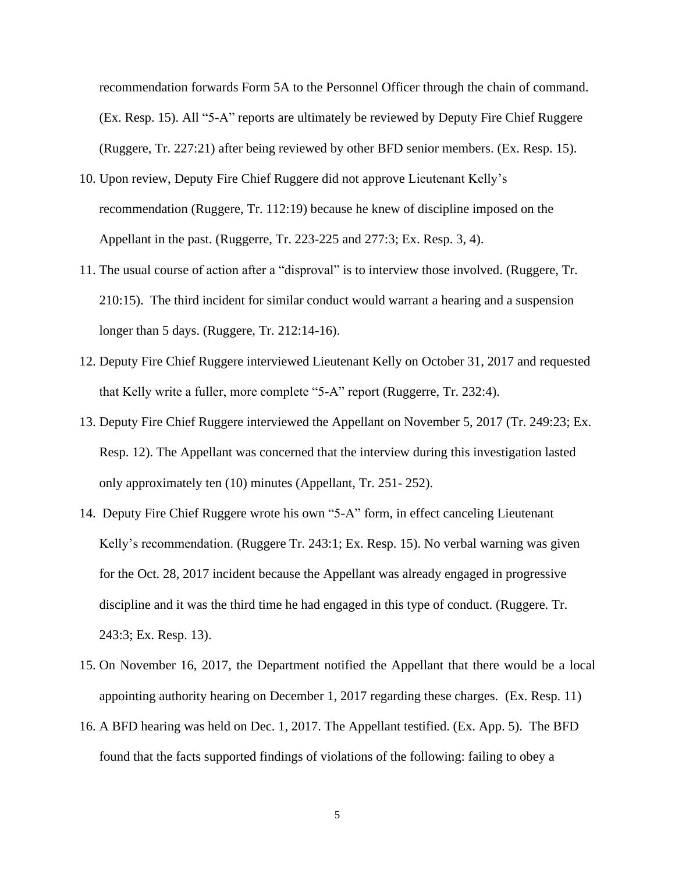recommendation forwards Form 5A to the Personnel Officer through the chain of command. (Ex. Resp. 15). All "5-A" reports are ultimately be reviewed by Deputy Fire Chief Ruggere (Ruggere, Tr. 227:21) after being reviewed by other BFD senior members. (Ex. Resp. 15).

- 10. Upon review, Deputy Fire Chief Ruggere did not approve Lieutenant Kelly's recommendation (Ruggere, Tr. 112:19) because he knew of discipline imposed on the Appellant in the past. (Ruggerre, Tr. 223-225 and 277:3; Ex. Resp. 3, 4).
- 11. The usual course of action after a "disproval" is to interview those involved. (Ruggere, Tr. 210:15). The third incident for similar conduct would warrant a hearing and a suspension longer than 5 days. (Ruggere, Tr. 212:14-16).
- 12. Deputy Fire Chief Ruggere interviewed Lieutenant Kelly on October 31, 2017 and requested that Kelly write a fuller, more complete "5-A" report (Ruggerre, Tr. 232:4).
- 13. Deputy Fire Chief Ruggere interviewed the Appellant on November 5, 2017 (Tr. 249:23; Ex. Resp. 12). The Appellant was concerned that the interview during this investigation lasted only approximately ten (10) minutes (Appellant, Tr. 251- 252).
- 14. Deputy Fire Chief Ruggere wrote his own "5-A" form, in effect canceling Lieutenant Kelly's recommendation. (Ruggere Tr. 243:1; Ex. Resp. 15). No verbal warning was given for the Oct. 28, 2017 incident because the Appellant was already engaged in progressive discipline and it was the third time he had engaged in this type of conduct. (Ruggere. Tr. 243:3; Ex. Resp. 13).
- 15. On November 16, 2017, the Department notified the Appellant that there would be a local appointing authority hearing on December 1, 2017 regarding these charges. (Ex. Resp. 11)
- 16. A BFD hearing was held on Dec. 1, 2017. The Appellant testified. (Ex. App. 5). The BFD found that the facts supported findings of violations of the following: failing to obey a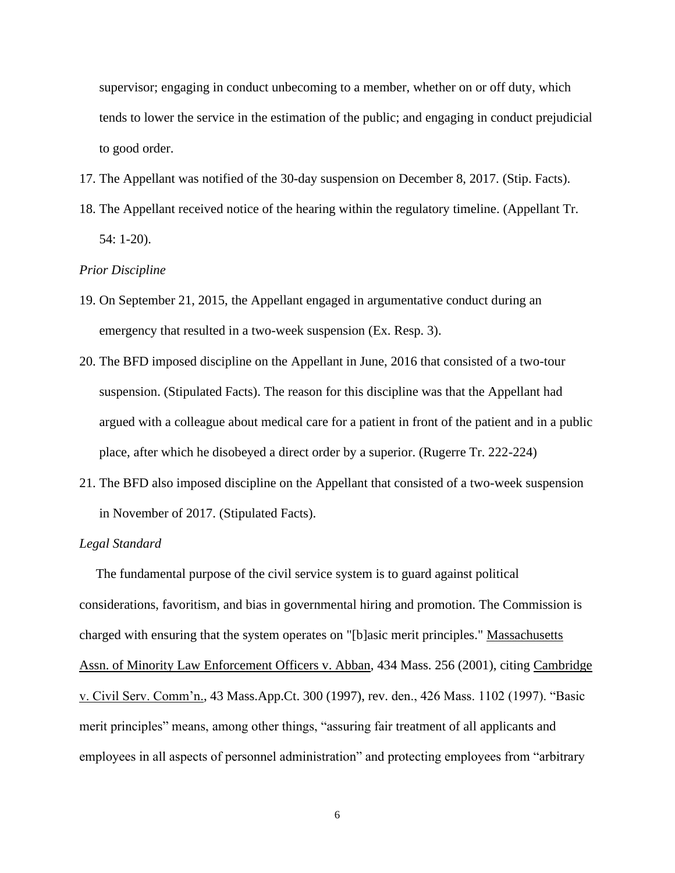supervisor; engaging in conduct unbecoming to a member, whether on or off duty, which tends to lower the service in the estimation of the public; and engaging in conduct prejudicial to good order.

- 17. The Appellant was notified of the 30-day suspension on December 8, 2017. (Stip. Facts).
- 18. The Appellant received notice of the hearing within the regulatory timeline. (Appellant Tr. 54: 1-20).

#### *Prior Discipline*

- 19. On September 21, 2015, the Appellant engaged in argumentative conduct during an emergency that resulted in a two-week suspension (Ex. Resp. 3).
- 20. The BFD imposed discipline on the Appellant in June, 2016 that consisted of a two-tour suspension. (Stipulated Facts). The reason for this discipline was that the Appellant had argued with a colleague about medical care for a patient in front of the patient and in a public place, after which he disobeyed a direct order by a superior. (Rugerre Tr. 222-224)
- 21. The BFD also imposed discipline on the Appellant that consisted of a two-week suspension in November of 2017. (Stipulated Facts).

### *Legal Standard*

 The fundamental purpose of the civil service system is to guard against political considerations, favoritism, and bias in governmental hiring and promotion. The Commission is charged with ensuring that the system operates on "[b]asic merit principles." Massachusetts Assn. of Minority Law Enforcement Officers v. Abban, 434 Mass. 256 (2001), citing Cambridge v. Civil Serv. Comm'n., 43 Mass.App.Ct. 300 (1997), rev. den., 426 Mass. 1102 (1997). "Basic merit principles" means, among other things, "assuring fair treatment of all applicants and employees in all aspects of personnel administration" and protecting employees from "arbitrary

6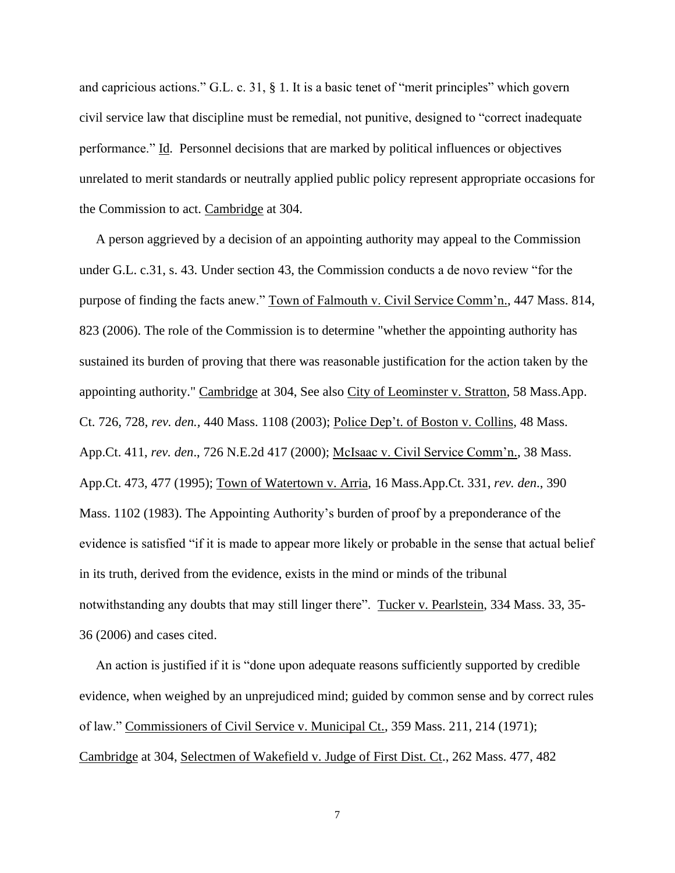and capricious actions." G.L. c. 31, § 1. It is a basic tenet of "merit principles" which govern civil service law that discipline must be remedial, not punitive, designed to "correct inadequate performance." Id. Personnel decisions that are marked by political influences or objectives unrelated to merit standards or neutrally applied public policy represent appropriate occasions for the Commission to act. Cambridge at 304.

 A person aggrieved by a decision of an appointing authority may appeal to the Commission under G.L. c.31, s. 43. Under section 43, the Commission conducts a de novo review "for the purpose of finding the facts anew." Town of Falmouth v. Civil Service Comm'n., 447 Mass. 814, 823 (2006). The role of the Commission is to determine "whether the appointing authority has sustained its burden of proving that there was reasonable justification for the action taken by the appointing authority." Cambridge at 304, See also City of Leominster v. Stratton, 58 Mass.App. Ct. 726, 728, *rev. den.,* 440 Mass. 1108 (2003); Police Dep't. of Boston v. Collins, 48 Mass. App.Ct. 411, *rev. den*., 726 N.E.2d 417 (2000); McIsaac v. Civil Service Comm'n., 38 Mass. App.Ct. 473, 477 (1995); Town of Watertown v. Arria, 16 Mass.App.Ct. 331, *rev. den*., 390 Mass. 1102 (1983). The Appointing Authority's burden of proof by a preponderance of the evidence is satisfied "if it is made to appear more likely or probable in the sense that actual belief in its truth, derived from the evidence, exists in the mind or minds of the tribunal notwithstanding any doubts that may still linger there". Tucker v. Pearlstein, 334 Mass. 33, 35- 36 (2006) and cases cited.

 An action is justified if it is "done upon adequate reasons sufficiently supported by credible evidence, when weighed by an unprejudiced mind; guided by common sense and by correct rules of law." Commissioners of Civil Service v. Municipal Ct., 359 Mass. 211, 214 (1971); Cambridge at 304, Selectmen of Wakefield v. Judge of First Dist. Ct., 262 Mass. 477, 482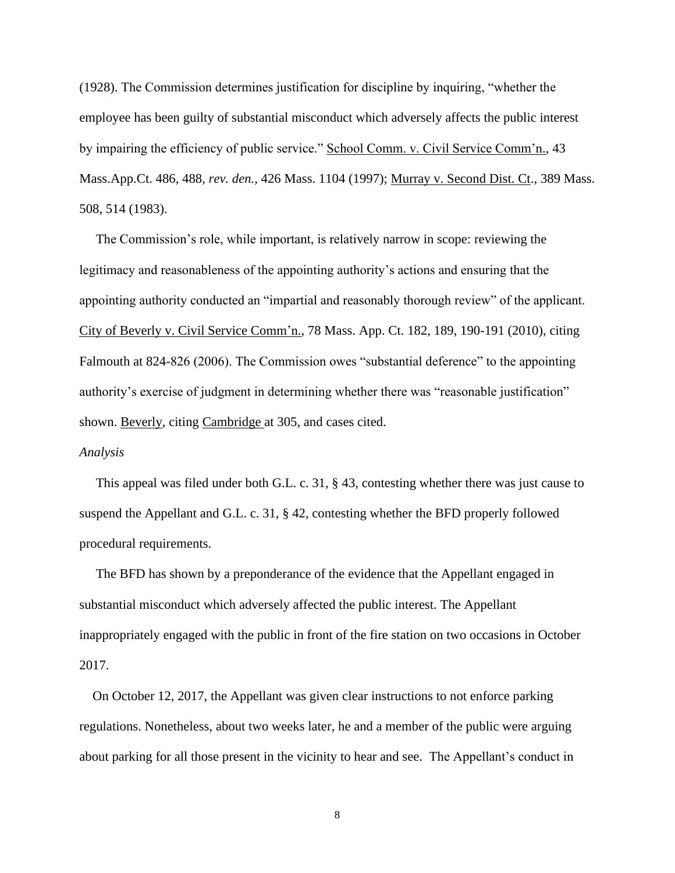(1928). The Commission determines justification for discipline by inquiring, "whether the employee has been guilty of substantial misconduct which adversely affects the public interest by impairing the efficiency of public service." School Comm. v. Civil Service Comm'n., 43 Mass.App.Ct. 486, 488, *rev. den.,* 426 Mass. 1104 (1997); Murray v. Second Dist. Ct., 389 Mass. 508, 514 (1983).

 The Commission's role, while important, is relatively narrow in scope: reviewing the legitimacy and reasonableness of the appointing authority's actions and ensuring that the appointing authority conducted an "impartial and reasonably thorough review" of the applicant. City of Beverly v. Civil Service Comm'n., 78 Mass. App. Ct. 182, 189, 190-191 (2010), citing Falmouth at 824-826 (2006). The Commission owes "substantial deference" to the appointing authority's exercise of judgment in determining whether there was "reasonable justification" shown. Beverly, citing Cambridge at 305, and cases cited.

#### *Analysis*

 This appeal was filed under both G.L. c. 31, § 43, contesting whether there was just cause to suspend the Appellant and G.L. c. 31, § 42, contesting whether the BFD properly followed procedural requirements.

 The BFD has shown by a preponderance of the evidence that the Appellant engaged in substantial misconduct which adversely affected the public interest. The Appellant inappropriately engaged with the public in front of the fire station on two occasions in October 2017.

 On October 12, 2017, the Appellant was given clear instructions to not enforce parking regulations. Nonetheless, about two weeks later, he and a member of the public were arguing about parking for all those present in the vicinity to hear and see. The Appellant's conduct in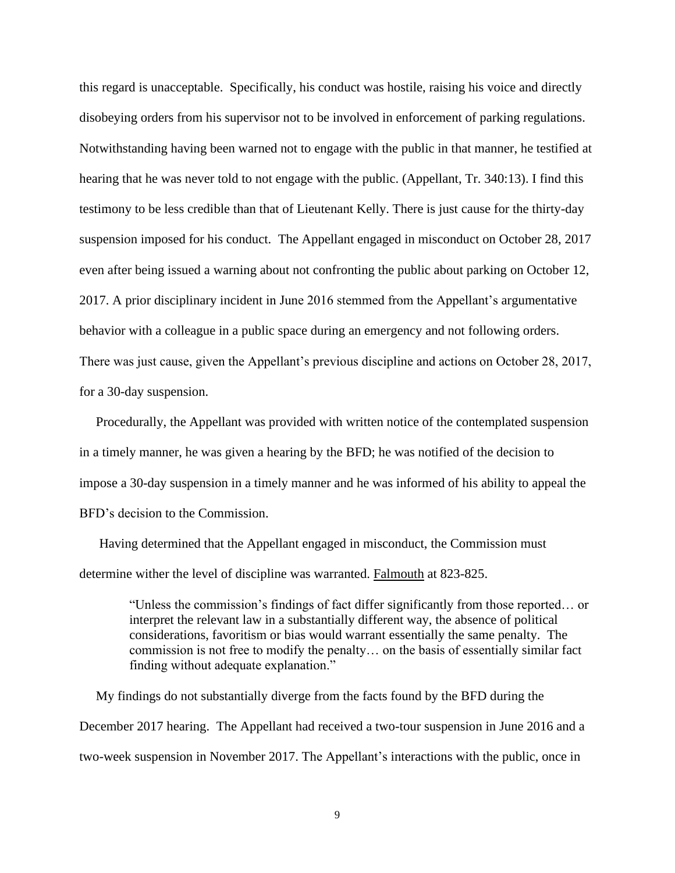this regard is unacceptable. Specifically, his conduct was hostile, raising his voice and directly disobeying orders from his supervisor not to be involved in enforcement of parking regulations. Notwithstanding having been warned not to engage with the public in that manner, he testified at hearing that he was never told to not engage with the public. (Appellant, Tr. 340:13). I find this testimony to be less credible than that of Lieutenant Kelly. There is just cause for the thirty-day suspension imposed for his conduct. The Appellant engaged in misconduct on October 28, 2017 even after being issued a warning about not confronting the public about parking on October 12, 2017. A prior disciplinary incident in June 2016 stemmed from the Appellant's argumentative behavior with a colleague in a public space during an emergency and not following orders. There was just cause, given the Appellant's previous discipline and actions on October 28, 2017, for a 30-day suspension.

 Procedurally, the Appellant was provided with written notice of the contemplated suspension in a timely manner, he was given a hearing by the BFD; he was notified of the decision to impose a 30-day suspension in a timely manner and he was informed of his ability to appeal the BFD's decision to the Commission.

 Having determined that the Appellant engaged in misconduct, the Commission must determine wither the level of discipline was warranted. Falmouth at 823-825.

> "Unless the commission's findings of fact differ significantly from those reported… or interpret the relevant law in a substantially different way, the absence of political considerations, favoritism or bias would warrant essentially the same penalty. The commission is not free to modify the penalty… on the basis of essentially similar fact finding without adequate explanation."

 My findings do not substantially diverge from the facts found by the BFD during the December 2017 hearing. The Appellant had received a two-tour suspension in June 2016 and a two-week suspension in November 2017. The Appellant's interactions with the public, once in